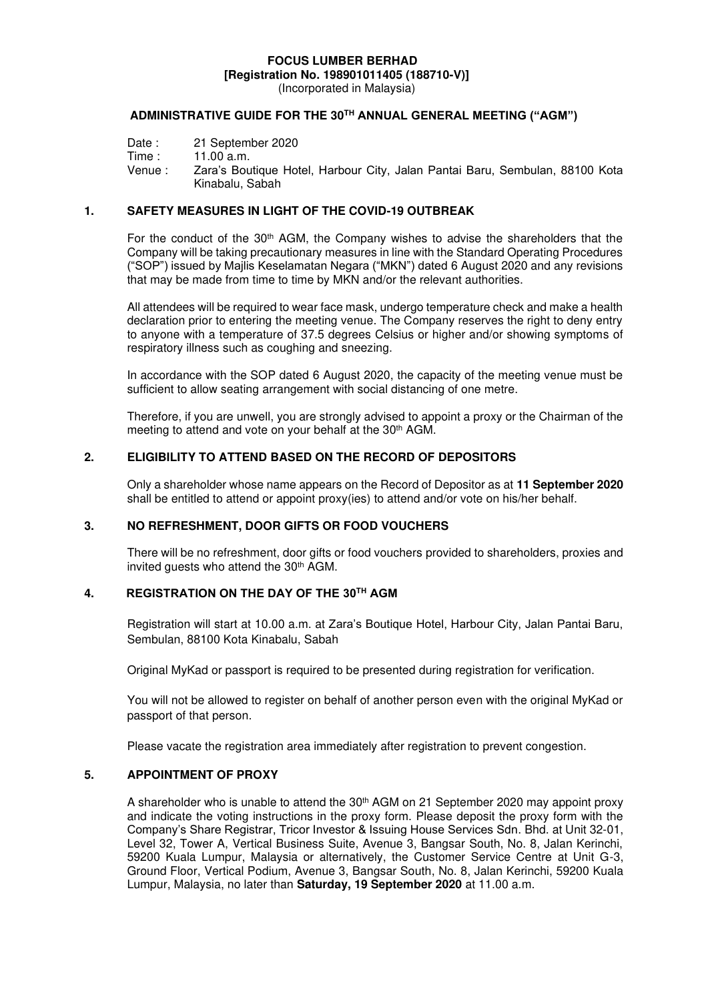# **FOCUS LUMBER BERHAD [Registration No. 198901011405 (188710-V)]**

(Incorporated in Malaysia)

## **ADMINISTRATIVE GUIDE FOR THE 30TH ANNUAL GENERAL MEETING ("AGM")**

Venue : Zara's Boutique Hotel, Harbour City, Jalan Pantai Baru, Sembulan, 88100 Kota Kinabalu, Sabah

### **1. SAFETY MEASURES IN LIGHT OF THE COVID-19 OUTBREAK**

For the conduct of the  $30<sup>th</sup>$  AGM, the Company wishes to advise the shareholders that the Company will be taking precautionary measures in line with the Standard Operating Procedures ("SOP") issued by Majlis Keselamatan Negara ("MKN") dated 6 August 2020 and any revisions that may be made from time to time by MKN and/or the relevant authorities.

All attendees will be required to wear face mask, undergo temperature check and make a health declaration prior to entering the meeting venue. The Company reserves the right to deny entry to anyone with a temperature of 37.5 degrees Celsius or higher and/or showing symptoms of respiratory illness such as coughing and sneezing.

In accordance with the SOP dated 6 August 2020, the capacity of the meeting venue must be sufficient to allow seating arrangement with social distancing of one metre.

Therefore, if you are unwell, you are strongly advised to appoint a proxy or the Chairman of the meeting to attend and vote on your behalf at the 30<sup>th</sup> AGM.

#### **2. ELIGIBILITY TO ATTEND BASED ON THE RECORD OF DEPOSITORS**

Only a shareholder whose name appears on the Record of Depositor as at **11 September 2020** shall be entitled to attend or appoint proxy(ies) to attend and/or vote on his/her behalf.

#### **3. NO REFRESHMENT, DOOR GIFTS OR FOOD VOUCHERS**

There will be no refreshment, door gifts or food vouchers provided to shareholders, proxies and invited guests who attend the 30<sup>th</sup> AGM.

# **4. REGISTRATION ON THE DAY OF THE 30TH AGM**

Registration will start at 10.00 a.m. at Zara's Boutique Hotel, Harbour City, Jalan Pantai Baru, Sembulan, 88100 Kota Kinabalu, Sabah

Original MyKad or passport is required to be presented during registration for verification.

You will not be allowed to register on behalf of another person even with the original MyKad or passport of that person.

Please vacate the registration area immediately after registration to prevent congestion.

### **5. APPOINTMENT OF PROXY**

A shareholder who is unable to attend the 30th AGM on 21 September 2020 may appoint proxy and indicate the voting instructions in the proxy form. Please deposit the proxy form with the Company's Share Registrar, Tricor Investor & Issuing House Services Sdn. Bhd. at Unit 32-01, Level 32, Tower A, Vertical Business Suite, Avenue 3, Bangsar South, No. 8, Jalan Kerinchi, 59200 Kuala Lumpur, Malaysia or alternatively, the Customer Service Centre at Unit G-3, Ground Floor, Vertical Podium, Avenue 3, Bangsar South, No. 8, Jalan Kerinchi, 59200 Kuala Lumpur, Malaysia, no later than **Saturday, 19 September 2020** at 11.00 a.m.